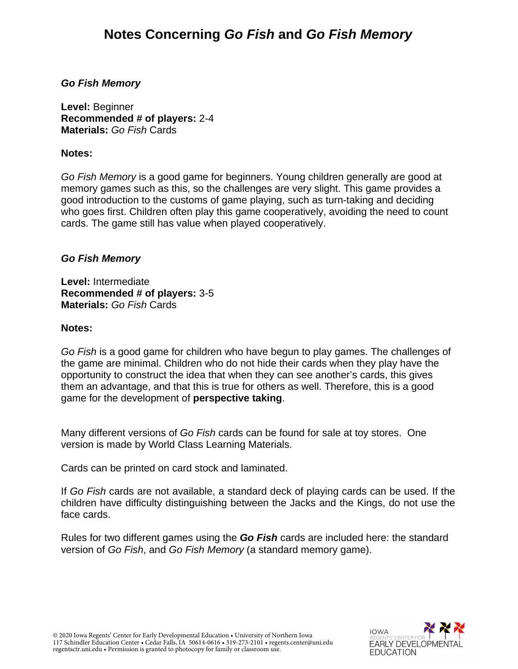# *Go Fish Memory*

**Level:** Beginner **Recommended # of players:** 2-4 **Materials:** *Go Fish* Cards

### **Notes:**

*Go Fish Memory* is a good game for beginners. Young children generally are good at memory games such as this, so the challenges are very slight. This game provides a good introduction to the customs of game playing, such as turn-taking and deciding who goes first. Children often play this game cooperatively, avoiding the need to count cards. The game still has value when played cooperatively.

# *Go Fish Memory*

**Level:** Intermediate **Recommended # of players:** 3-5 **Materials:** *Go Fish* Cards

#### **Notes:**

*Go Fish* is a good game for children who have begun to play games. The challenges of the game are minimal. Children who do not hide their cards when they play have the opportunity to construct the idea that when they can see another's cards, this gives them an advantage, and that this is true for others as well. Therefore, this is a good game for the development of **perspective taking**.

Many different versions of *Go Fish* cards can be found for sale at toy stores. One version is made by World Class Learning Materials.

Cards can be printed on card stock and laminated.

If *Go Fish* cards are not available, a standard deck of playing cards can be used. If the children have difficulty distinguishing between the Jacks and the Kings, do not use the face cards.

Rules for two different games using the *Go Fish* cards are included here: the standard version of *Go Fish*, and *Go Fish Memory* (a standard memory game).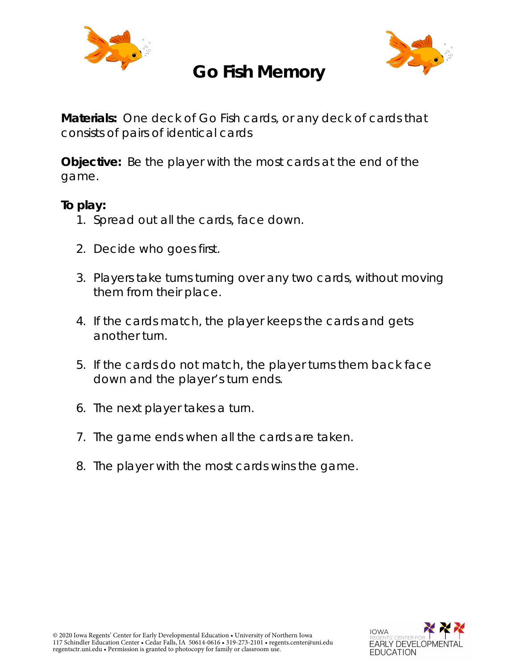

# **Go Fish Memory**



**Materials:** One deck of Go Fish cards, or any deck of cards that consists of pairs of identical cards

**Objective:** Be the player with the most cards at the end of the game.

# **To play:**

- 1. Spread out all the cards, face down.
- 2. Decide who goes first.
- 3. Players take turns turning over any two cards, without moving them from their place.
- 4. If the cards match, the player keeps the cards and gets another turn.
- 5. If the cards do not match, the player turns them back face down and the player's turn ends.
- 6. The next player takes a turn.
- 7. The game ends when all the cards are taken.
- 8. The player with the most cards wins the game.

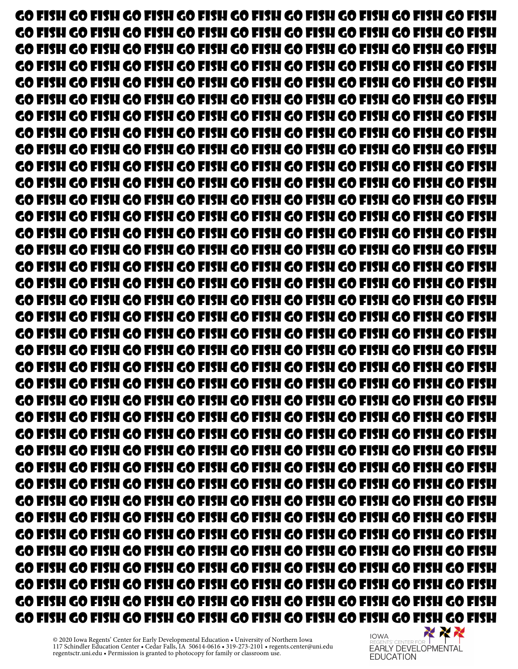Go fish go fish go fish go fish go fish go fish go fish go fish go fish Go fish go fish go fish go fish go fish go fish go fish go fish go fish Go fish go fish go fish go fish go fish go fish go fish go fish go fish Go fish go fish go fish go fish go fish go fish go fish go fish go fish Go fish go fish go fish go fish go fish go fish go fish go fish go fish Go fish go fish go fish go fish go fish go fish go fish go fish go fish Go fish go fish go fish go fish go fish go fish go fish go fish go fish Go fish go fish go fish go fish go fish go fish go fish go fish go fish Go fish go fish go fish go fish go fish go fish go fish go fish go fish Go fish go fish go fish go fish go fish go fish go fish go fish go fish Go fish go fish go fish go fish go fish go fish go fish go fish go fish Go fish go fish go fish go fish go fish go fish go fish go fish go fish Go fish go fish go fish go fish go fish go fish go fish go fish go fish Go fish go fish go fish go fish go fish go fish go fish go fish go fish Go fish go fish go fish go fish go fish go fish go fish go fish go fish Go fish go fish go fish go fish go fish go fish go fish go fish go fish Go fish go fish go fish go fish go fish go fish go fish go fish go fish Go fish go fish go fish go fish go fish go fish go fish go fish go fish Go fish go fish go fish go fish go fish go fish go fish go fish go fish Go fish go fish go fish go fish go fish go fish go fish go fish go fish Go fish go fish go fish go fish go fish go fish go fish go fish go fish Go fish go fish go fish go fish go fish go fish go fish go fish go fish Go fish go fish go fish go fish go fish go fish go fish go fish go fish Go fish go fish go fish go fish go fish go fish go fish go fish go fish Go fish go fish go fish go fish go fish go fish go fish go fish go fish Go fish go fish go fish go fish go fish go fish go fish go fish go fish Go fish go fish go fish go fish go fish go fish go fish go fish go fish Go fish go fish go fish go fish go fish go fish go fish go fish go fish Go fish go fish go fish go fish go fish go fish go fish go fish go fish Go fish go fish go fish go fish go fish go fish go fish go fish go fish Go fish go fish go fish go fish go fish go fish go fish go fish go fish Go fish go fish go fish go fish go fish go fish go fish go fish go fish Go fish go fish go fish go fish go fish go fish go fish go fish go fish Go fish go fish go fish go fish go fish go fish go fish go fish go fish Go fish go fish go fish go fish go fish go fish go fish go fish go fish Go fish go fish go fish go fish go fish go fish go fish go fish go fish GO FISH GO FISH GO FISH GO FISH GO FISH GO FISH GO FISH GO FISH GO FISH GO FISH<br>Mexical Report of the second terms of the second terms of the second terms of the second terms of the second s

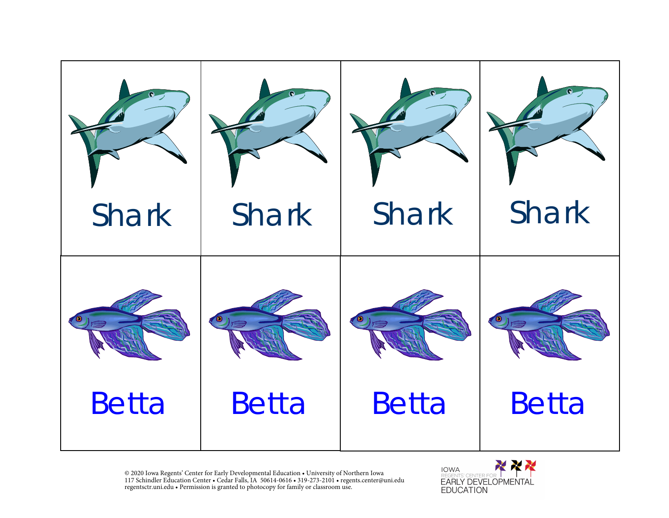

X **NEW IOWA EARLY DEVELOPMENTAL EDUCATION**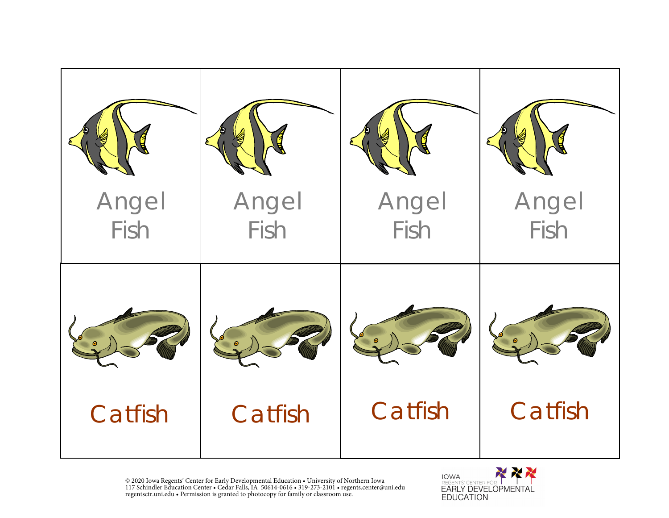

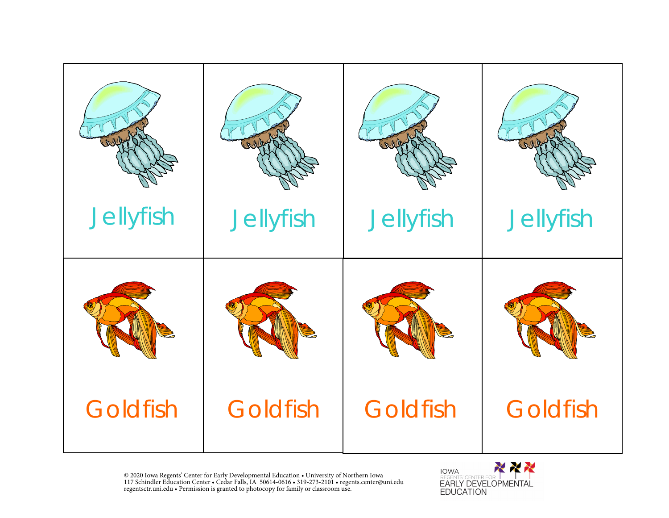

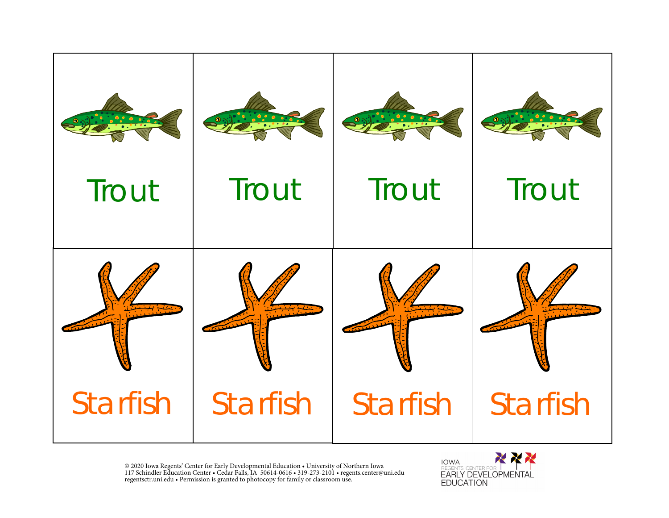